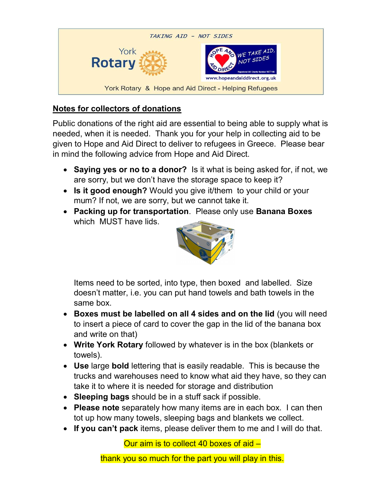

## Notes for collectors of donations

Public donations of the right aid are essential to being able to supply what is needed, when it is needed. Thank you for your help in collecting aid to be given to Hope and Aid Direct to deliver to refugees in Greece. Please bear in mind the following advice from Hope and Aid Direct.

- Saying yes or no to a donor? Is it what is being asked for, if not, we are sorry, but we don't have the storage space to keep it?
- Is it good enough? Would you give it/them to your child or your mum? If not, we are sorry, but we cannot take it.
- Packing up for transportation. Please only use Banana Boxes which MUST have lids.



Items need to be sorted, into type, then boxed and labelled. Size doesn't matter, i.e. you can put hand towels and bath towels in the same box.

- Boxes must be labelled on all 4 sides and on the lid (you will need to insert a piece of card to cover the gap in the lid of the banana box and write on that)
- Write York Rotary followed by whatever is in the box (blankets or towels).
- Use large bold lettering that is easily readable. This is because the trucks and warehouses need to know what aid they have, so they can take it to where it is needed for storage and distribution
- Sleeping bags should be in a stuff sack if possible.
- Please note separately how many items are in each box. I can then tot up how many towels, sleeping bags and blankets we collect.
- If you can't pack items, please deliver them to me and I will do that.

Our aim is to collect 40 boxes of aid –

thank you so much for the part you will play in this.